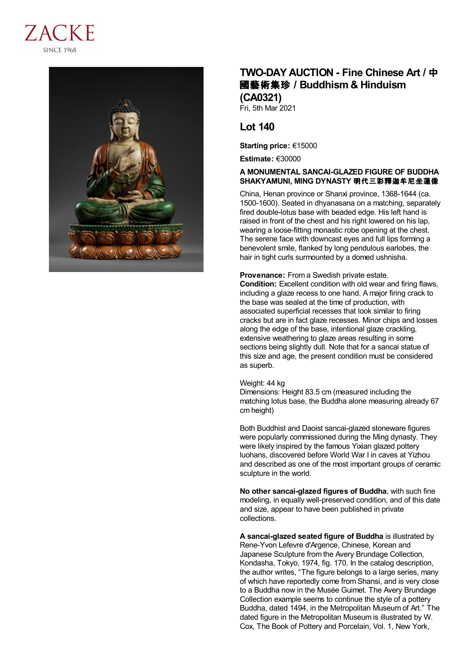



# **TWO-DAY AUCTION - Fine Chinese Art /** 中 國藝術集珍 **/Buddhism & Hinduism (CA0321)**

Fri, 5th Mar 2021

## **Lot 140**

**Starting price:** €15000

**Estimate:** €30000

#### **A MONUMENTAL SANCAI-GLAZED FIGURE OF BUDDHA SHAKYAMUNI, MING DYNASTY** 明代三彩釋迦牟尼坐蓮像

China, Henan province or Shanxi province, 1368-1644 (ca. 1500-1600). Seated in dhyanasana on a matching, separately fired double-lotus base with beaded edge. His left hand is raised in front of the chest and his right lowered on his lap, wearing a loose-fitting monastic robe opening at the chest. The serene face with downcast eyes and full lips forming a benevolent smile, flanked by long pendulous earlobes, the hair in tight curls surmounted by a domed ushnisha.

### **Provenance:** From a Swedish private estate.

**Condition:** Excellent condition with old wear and firing flaws, including a glaze recess to one hand. A major firing crack to the base was sealed at the time of production, with associated superficial recesses that look similar to firing cracks but are in fact glaze recesses. Minor chips and losses along the edge of the base, intentional glaze crackling, extensive weathering to glaze areas resulting in some sections being slightly dull. Note that for a sancai statue of this size and age, the present condition must be considered as superb.

#### Weight: 44 kg

Dimensions: Height 83.5 cm (measured including the matching lotus base, the Buddha alone measuring already 67 cm height)

Both Buddhist and Daoist sancai-glazed stoneware figures were popularly commissioned during the Ming dynasty. They were likely inspired by the famous Yixian glazed pottery luohans, discovered before World War I in caves at Yizhou and described as one of the most important groups of ceramic sculpture in the world.

**No other sancai-glazed figures of Buddha**, with such fine modeling, in equally well-preserved condition, and of this date and size, appear to have been published in private collections.

**A sancai-glazed seated figure of Buddha** is illustrated by Rene-Yvon Lefevre d'Argence, Chinese, Korean and Japanese Sculpture from the Avery Brundage Collection, Kondasha, Tokyo, 1974, fig. 170. In the catalog description, the author writes, "The figure belongs to a large series, many of which have reportedly come from Shansi, and is very close to a Buddha now in the Musée Guimet. The Avery Brundage Collection example seems to continue the style of a pottery Buddha, dated 1494, in the Metropolitan Museum of Art." The dated figure in the Metropolitan Museum is illustrated by W. Cox, The Book of Pottery and Porcelain, Vol. 1, New York,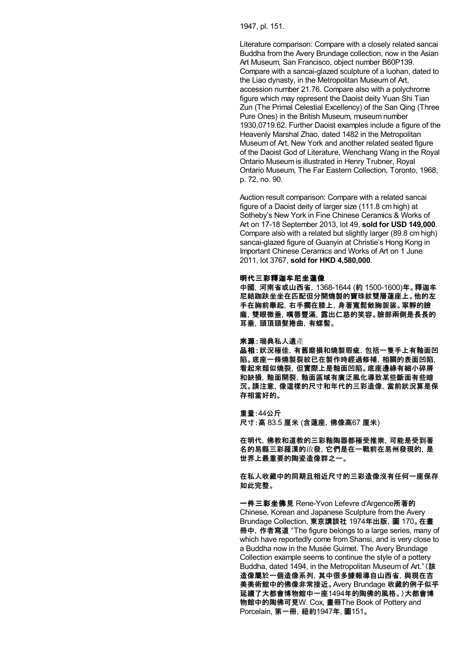1947, pl. 151.

Literature comparison: Compare with a closely related sancai Buddha from the Avery Brundage collection, now in the Asian Art Museum, San Francisco, object number B60P139. Compare with a sancai-glazed sculpture of a luohan, dated to the Liao dynasty, in the Metropolitan Museum of Art, accession number 21.76. Compare also with a polychrome figure which may represent the Daoist deity Yuan Shi Tian Zun (The Primal Celestial Excellency) of the San Qing (Three Pure Ones) in the British Museum, museum number 1930,0719.62. Further Daoist examples include a figure of the Heavenly Marshal Zhao, dated 1482 in the Metropolitan Museum of Art, New York and another related seated figure of the Daoist God of Literature, Wenchang Wang in the Royal Ontario Museum is illustrated in Henry Trubner, Royal Ontario Museum, The Far Eastern Collection, Toronto, 1968, p. 72, no. 90.

Auction result comparison: Compare with a related sancai figure of a Daoist deity of larger size (111.8 cm high) at Sotheby's New York in Fine Chinese Ceramics & Works of Art on 17-18 September 2013, lot 49, **sold for USD 149,000**. Compare also with a related but slightly larger (89.8 cm high) sancai-glazed figure of Guanyin at Christie's Hong Kong in Important Chinese Ceramics and Works of Art on 1 June 2011, lot 3767, **sold for HKD 4,580,000**.

#### 明代三彩釋迦牟尼坐蓮像

中國,河南省或山西省,1368-1644 (約 1500-1600)年。釋迦牟 尼結跏趺坐坐在匹配但分開燒製的寶珠紋雙層蓮座上。他的左 手在胸前舉起,右手擱在膝上,身著寬鬆敞胸袈裟。寧靜的臉 龐,雙眼微垂,嘴唇豐滿,露出仁慈的笑容。臉部兩側是長長的 耳垂,頭頂頭髮捲曲,有螺髻。

來源:瑞典私人遺產

品相:狀況極佳,有舊磨損和燒製瑕疵,包括一隻手上有釉面凹 陷。底座一條燒製裂紋已在製作時經過修補,相關的表面凹陷, 看起來類似燒裂,但實際上是釉面凹陷。底座邊緣有細小碎屑 和缺損,釉面開裂,釉面區域有廣泛風化導致某些斷面有些暗 沉。請注意,像這樣的尺寸和年代的三彩造像,當前狀況算是保 存相當好的。

重量:44公斤 尺寸:高 83.5 厘米 (含蓮座,佛像高67 厘米)

在明代,佛教和道教的三彩釉陶器都極受推崇,可能是受到著 名的易縣三彩羅漢的啟發,它們是在一戰前在易州發現的,是 世界上最重要的陶瓷造像群之一。

在私人收藏中的同期且相近尺寸的三彩造像沒有任何一座保存 如此完整。

一件三彩坐佛見 Rene-Yvon Lefevre d'Argence所著的 Chinese, Korean and Japanese Sculpture from the Avery Brundage Collection, 東京講談社 1974年出版,圖 170。在畫 冊中,作者寫道 "The figure belongs to a large series, many of which have reportedly come from Shansi, and is very close to a Buddha now in the Musée Guimet. The Avery Brundage Collection example seems to continue the style of a pottery Buddha, dated 1494, in the Metropolitan Museum of Art."(該 造像屬於一個造像系列,其中很多據報導自山西省,與現在吉 美美術館中的佛像非常接近。Avery Brundage 收藏的例子似乎 延續了大都會博物館中一座1494年的陶佛的風格。)大都會博 物館中的陶佛可見W. Cox, 畫冊The Book of Pottery and Porcelain, 第一冊,紐約1947年, 圖151。